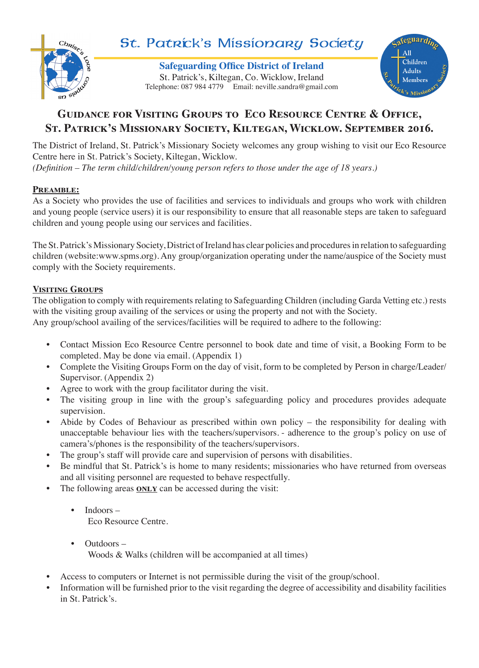

# St. Patrick's Missionary Society

**Safeguarding Office District of Ireland** Telephone: 087 984 4779 Email: neville.sandra@gmail.com St. Patrick's, Kiltegan, Co. Wicklow, Ireland



# **Guidance for Visiting Groups to Eco Resource Centre & Office, St. Patrick's Missionary Society, Kiltegan, Wicklow. September 2016.**

The District of Ireland, St. Patrick's Missionary Society welcomes any group wishing to visit our Eco Resource Centre here in St. Patrick's Society, Kiltegan, Wicklow.

*(Definition – The term child/children/young person refers to those under the age of 18 years.)*

# **Preamble:**

As a Society who provides the use of facilities and services to individuals and groups who work with children and young people (service users) it is our responsibility to ensure that all reasonable steps are taken to safeguard children and young people using our services and facilities.

The St. Patrick's Missionary Society, District of Ireland has clear policies and procedures in relation to safeguarding children (website:www.spms.org). Any group/organization operating under the name/auspice of the Society must comply with the Society requirements.

# **Visiting Groups**

The obligation to comply with requirements relating to Safeguarding Children (including Garda Vetting etc.) rests with the visiting group availing of the services or using the property and not with the Society. Any group/school availing of the services/facilities will be required to adhere to the following:

- Contact Mission Eco Resource Centre personnel to book date and time of visit, a Booking Form to be completed. May be done via email. (Appendix 1)
- Complete the Visiting Groups Form on the day of visit, form to be completed by Person in charge/Leader/ Supervisor. (Appendix 2)
- Agree to work with the group facilitator during the visit.
- The visiting group in line with the group's safeguarding policy and procedures provides adequate supervision.
- Abide by Codes of Behaviour as prescribed within own policy the responsibility for dealing with unacceptable behaviour lies with the teachers/supervisors. - adherence to the group's policy on use of camera's/phones is the responsibility of the teachers/supervisors.
- The group's staff will provide care and supervision of persons with disabilities.
- Be mindful that St. Patrick's is home to many residents; missionaries who have returned from overseas and all visiting personnel are requested to behave respectfully.
- The following areas **ONLY** can be accessed during the visit:
	- Indoors Eco Resource Centre.
	- Outdoors Woods & Walks (children will be accompanied at all times)
- Access to computers or Internet is not permissible during the visit of the group/school.
- Information will be furnished prior to the visit regarding the degree of accessibility and disability facilities in St. Patrick's.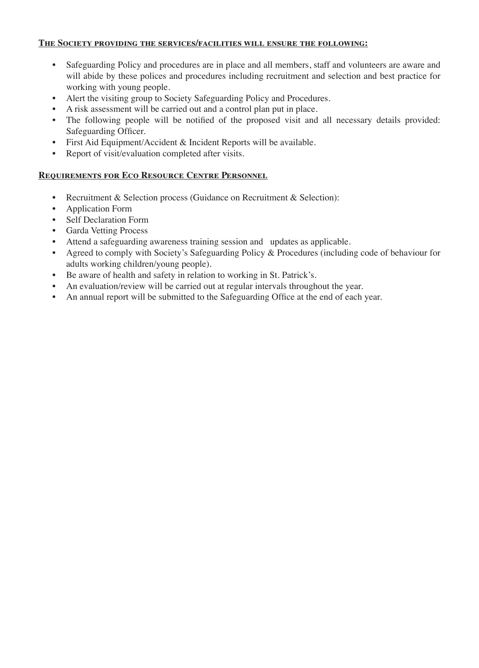#### **The Society providing the services/facilities will ensure the following:**

- Safeguarding Policy and procedures are in place and all members, staff and volunteers are aware and will abide by these polices and procedures including recruitment and selection and best practice for working with young people.
- Alert the visiting group to Society Safeguarding Policy and Procedures.
- A risk assessment will be carried out and a control plan put in place.
- The following people will be notified of the proposed visit and all necessary details provided: Safeguarding Officer.
- First Aid Equipment/Accident & Incident Reports will be available.
- Report of visit/evaluation completed after visits.

#### **Requirements for Eco Resource Centre Personnel**

- Recruitment & Selection process (Guidance on Recruitment & Selection):
- Application Form
- Self Declaration Form
- Garda Vetting Process
- Attend a safeguarding awareness training session and updates as applicable.
- Agreed to comply with Society's Safeguarding Policy & Procedures (including code of behaviour for adults working children/young people).
- Be aware of health and safety in relation to working in St. Patrick's.
- An evaluation/review will be carried out at regular intervals throughout the year.
- An annual report will be submitted to the Safeguarding Office at the end of each year.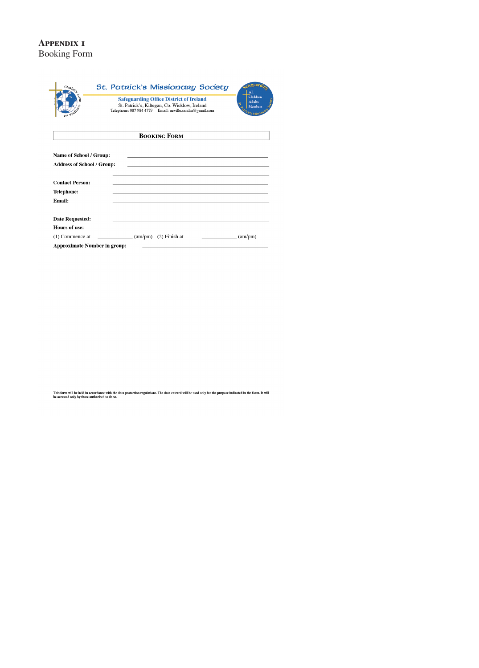## **Appendix 1** Booking Form

| $\mathrm{Ch}_{R\vert_{\mathcal{S}_{\rho_i}}}$<br>sn siel                                                    | St. Patrick's Missionary Society<br><b>Safeguarding Office District of Ireland</b><br>St. Patrick's, Kiltegan, Co. Wicklow, Ireland<br>Telephone: 087 984 4779 Email: neville.sandra@gmail.com | toollari<br>All<br>Children<br><b>Adults</b><br>ğ,<br>Members<br><sup>7</sup> Ck's Missi |
|-------------------------------------------------------------------------------------------------------------|------------------------------------------------------------------------------------------------------------------------------------------------------------------------------------------------|------------------------------------------------------------------------------------------|
|                                                                                                             | <b>BOOKING FORM</b>                                                                                                                                                                            |                                                                                          |
| Name of School / Group:<br><b>Address of School / Group:</b><br><b>Contact Person:</b><br><b>Telephone:</b> |                                                                                                                                                                                                |                                                                                          |
| Email:                                                                                                      |                                                                                                                                                                                                |                                                                                          |
| <b>Date Requested:</b><br><b>Hours of use:</b>                                                              |                                                                                                                                                                                                |                                                                                          |
| $(1)$ Commence at<br><b>Approximate Number in group:</b>                                                    | $\frac{\text{am}}{\text{pm}}$ (am/pm) (2) Finish at                                                                                                                                            | (am/pm)                                                                                  |

This form will be held in accordance with the data protection regulations. The data entered will be used only for the purpose indicated in the form. It will<br>be accessed only by those authorised to do so.